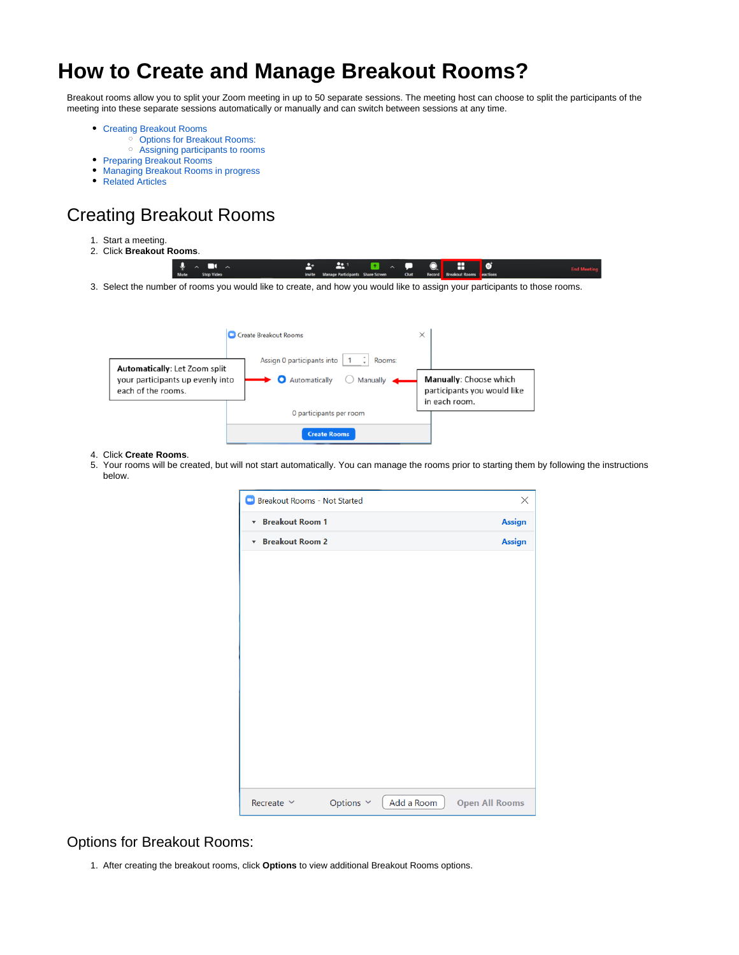# <span id="page-0-2"></span>**How to Create and Manage Breakout Rooms?**

Breakout rooms allow you to split your Zoom meeting in up to 50 separate sessions. The meeting host can choose to split the participants of the meeting into these separate sessions automatically or manually and can switch between sessions at any time.

- [Creating Breakout Rooms](#page-0-0)
	- <sup>o</sup> [Options for Breakout Rooms:](#page-0-1)
	- <sup>o</sup> [Assigning participants to rooms](#page-1-0)
- [Preparing Breakout Rooms](#page-2-0)
- [Managing Breakout Rooms in progress](#page-3-0)
- [Related Articles](#page-4-0)

## <span id="page-0-0"></span>Creating Breakout Rooms

- 1. Start a meeting.
- 2. Click **Breakout Rooms**.

| .<br>$\sim$ $\blacksquare$ | $\begin{array}{cccccccccccccc} \Delta^+ & \Delta^+ & \Omega^- & \wedge^- \P & \mathbb{Q} & \mathbb{H} & \mathbb{Q} \end{array}$ |  |  |  |  |
|----------------------------|---------------------------------------------------------------------------------------------------------------------------------|--|--|--|--|
| Mute Stop Video            | Invite Manage Participants Share Screen Chat Record Breakout Rooms eactions                                                     |  |  |  |  |
|                            |                                                                                                                                 |  |  |  |  |

3. Select the number of rooms you would like to create, and how you would like to assign your participants to those rooms.

|                                                                                         | <b>C</b> Create Breakout Rooms                                         | $\times$                                                               |
|-----------------------------------------------------------------------------------------|------------------------------------------------------------------------|------------------------------------------------------------------------|
| Automatically: Let Zoom split<br>your participants up evenly into<br>each of the rooms. | Assign 0 participants into<br>Rooms:<br>Automatically<br>O<br>Manually | Manually: Choose which<br>participants you would like<br>in each room. |
|                                                                                         | 0 participants per room                                                |                                                                        |
|                                                                                         | <b>Create Rooms</b>                                                    |                                                                        |

#### 4. Click **Create Rooms**.

5. Your rooms will be created, but will not start automatically. You can manage the rooms prior to starting them by following the instructions below.

| Breakout Rooms - Not Started |                |            | $\times$              |
|------------------------------|----------------|------------|-----------------------|
| <b>v</b> Breakout Room 1     |                |            | Assign                |
| ▼ Breakout Room 2            |                |            | Assign                |
|                              |                |            |                       |
|                              |                |            |                       |
|                              |                |            |                       |
|                              |                |            |                       |
|                              |                |            |                       |
|                              |                |            |                       |
|                              |                |            |                       |
|                              |                |            |                       |
|                              |                |            |                       |
|                              |                |            |                       |
|                              |                |            |                       |
|                              |                |            |                       |
| Recreate $\vee$              | Options $\sim$ | Add a Room | <b>Open All Rooms</b> |

### <span id="page-0-1"></span>Options for Breakout Rooms:

1. After creating the breakout rooms, click **Options** to view additional Breakout Rooms options.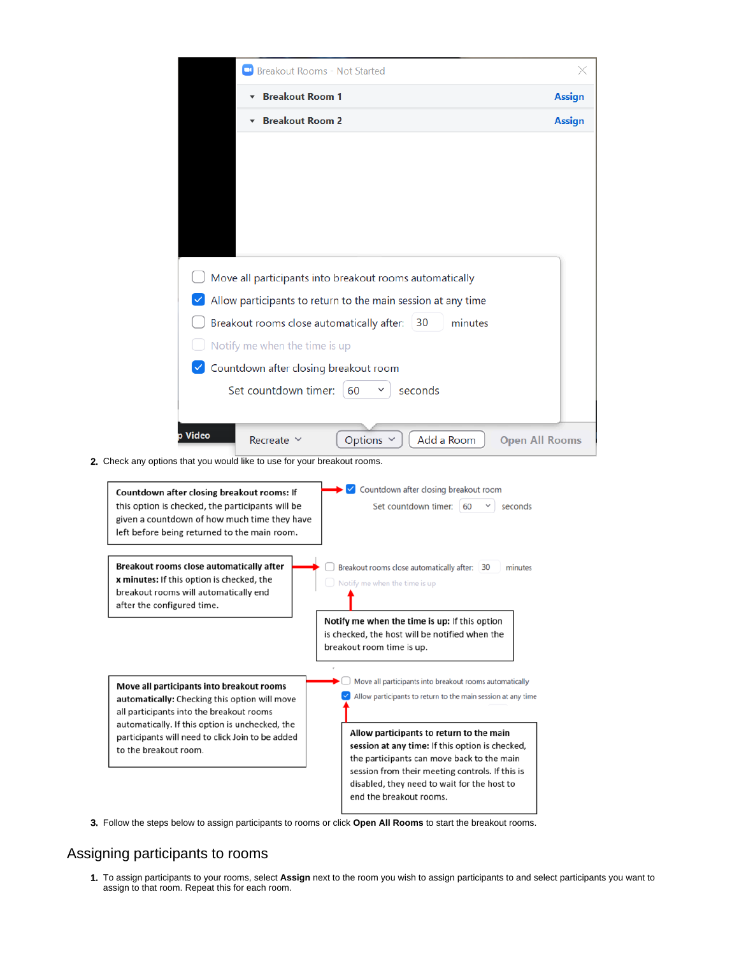|                                                                                                                                                                                                | <b>Breakout Rooms - Not Started</b>                                                                                                                                                                                            |
|------------------------------------------------------------------------------------------------------------------------------------------------------------------------------------------------|--------------------------------------------------------------------------------------------------------------------------------------------------------------------------------------------------------------------------------|
|                                                                                                                                                                                                | <b>Breakout Room 1</b><br>Assign                                                                                                                                                                                               |
|                                                                                                                                                                                                | <b>Breakout Room 2</b><br><b>Assign</b>                                                                                                                                                                                        |
| Notify me when the time is up                                                                                                                                                                  | Move all participants into breakout rooms automatically<br>Allow participants to return to the main session at any time<br>Breakout rooms close automatically after:<br>minutes<br>30<br>Countdown after closing breakout room |
| Set countdown timer:                                                                                                                                                                           | seconds<br>60                                                                                                                                                                                                                  |
|                                                                                                                                                                                                |                                                                                                                                                                                                                                |
| p Video<br>Recreate $\vee$                                                                                                                                                                     | Options v<br>Add a Room<br><b>Open All Rooms</b>                                                                                                                                                                               |
| 2. Check any options that you would like to use for your breakout rooms.                                                                                                                       |                                                                                                                                                                                                                                |
| Countdown after closing breakout rooms: If<br>this option is checked, the participants will be<br>given a countdown of how much time they have<br>left before being returned to the main room. | Countdown after closing breakout room<br>✓<br>Set countdown timer:   60<br>seconds                                                                                                                                             |
| Breakout rooms close automatically after<br><b>x minutes:</b> If this option is checked, the<br>breakout rooms will automatically end                                                          | Breakout rooms close automatically after: 30<br>minutes<br>Notify me when the time is up                                                                                                                                       |
| after the configured time.                                                                                                                                                                     |                                                                                                                                                                                                                                |
|                                                                                                                                                                                                | Notify me when the time is up: If this option<br>is checked, the host will be notified when the<br>breakout room time is up.                                                                                                   |

3. Follow the steps below to assign participants to rooms or click **Open All Rooms** to start the breakout rooms.

### <span id="page-1-0"></span>Assigning participants to rooms

1. To assign participants to your rooms, select **Assign** next to the room you wish to assign participants to and select participants you want to assign to that room. Repeat this for each room.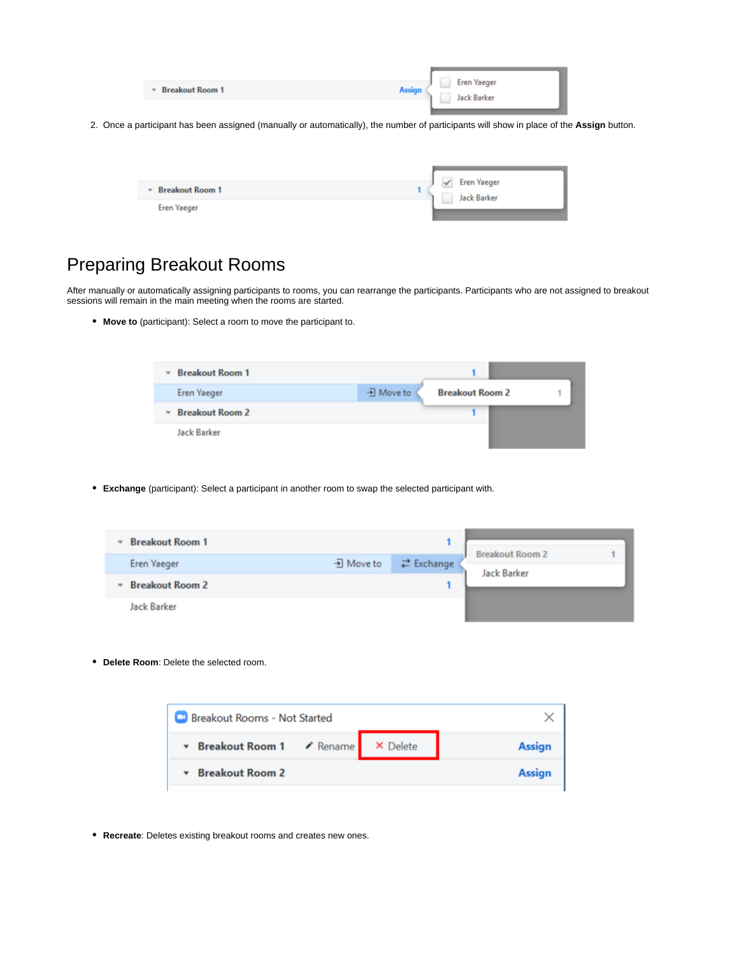|  | <b>Breakout Room 1</b><br>$\mathbf{v}$ | <b>Eren Yaeger</b><br><b>Assign</b><br><b>Jack Barker</b> |
|--|----------------------------------------|-----------------------------------------------------------|
|--|----------------------------------------|-----------------------------------------------------------|

2. Once a participant has been assigned (manually or automatically), the number of participants will show in place of the **Assign** button.

| <b>Breakout Room 1</b>   | <b>Eren Yaeger</b> |
|--------------------------|--------------------|
| $\overline{\phantom{a}}$ | Jack Barker        |
| <b>Eren Yaeger</b>       |                    |

### <span id="page-2-0"></span>Preparing Breakout Rooms

After manually or automatically assigning participants to rooms, you can rearrange the participants. Participants who are not assigned to breakout sessions will remain in the main meeting when the rooms are started.

**Move to** (participant): Select a room to move the participant to.

| <b>Breakout Room 1</b><br>$\overline{\phantom{a}}$ |           |                        |  |
|----------------------------------------------------|-----------|------------------------|--|
| <b>Eren Yaeger</b>                                 | • Move to | <b>Breakout Room 2</b> |  |
| <b>Breakout Room 2</b><br>$\overline{\phantom{a}}$ |           |                        |  |
| <b>Jack Barker</b>                                 |           |                        |  |

**Exchange** (participant): Select a participant in another room to swap the selected participant with.

| <b>Breakout Room 1</b><br>$\overline{\phantom{a}}$ |           |                             |                        | ٠ |
|----------------------------------------------------|-----------|-----------------------------|------------------------|---|
| <b>Eren Yaeger</b>                                 | • Move to | $\rightleftarrows$ Exchange | <b>Breakout Room 2</b> |   |
| <b>Breakout Room 2</b><br>٠                        |           |                             | <b>Jack Barker</b>     |   |
| <b>Jack Barker</b>                                 |           |                             |                        |   |

**Delete Room**: Delete the selected room.

| <b>Breakout Rooms - Not Started</b> |  |               |
|-------------------------------------|--|---------------|
| Breakout Room 1 / Rename X Delete   |  | <b>Assign</b> |
| <b>Breakout Room 2</b>              |  | <b>Assign</b> |

**Recreate**: Deletes existing breakout rooms and creates new ones.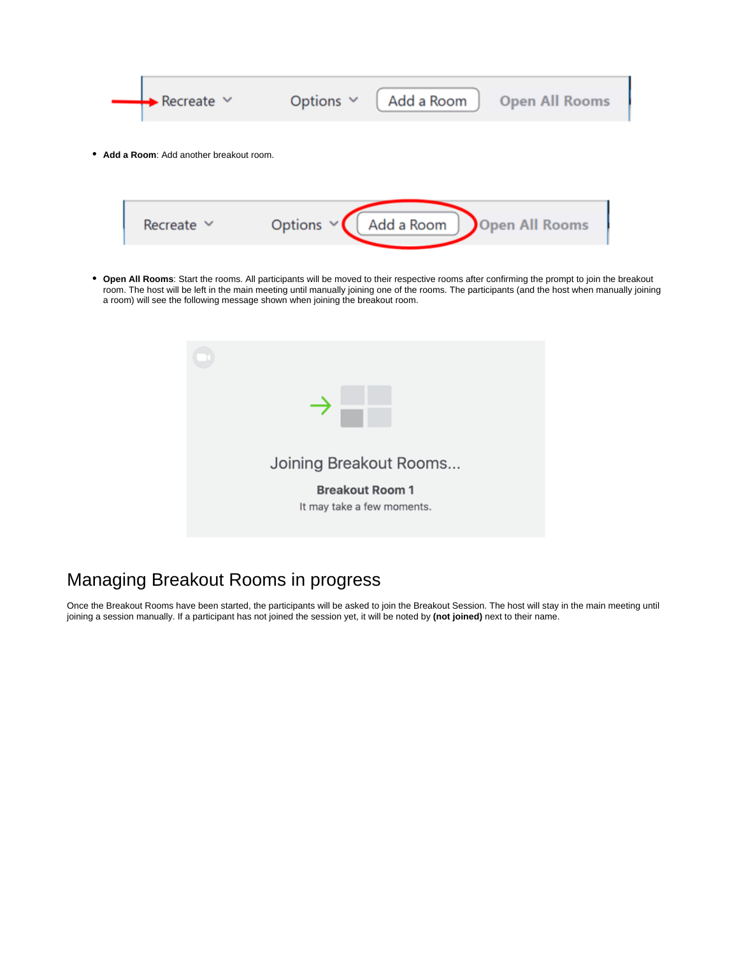

**Add a Room**: Add another breakout room.



**Open All Rooms**: Start the rooms. All participants will be moved to their respective rooms after confirming the prompt to join the breakout room. The host will be left in the main meeting until manually joining one of the rooms. The participants (and the host when manually joining a room) will see the following message shown when joining the breakout room.



### <span id="page-3-0"></span>Managing Breakout Rooms in progress

Once the Breakout Rooms have been started, the participants will be asked to join the Breakout Session. The host will stay in the main meeting until joining a session manually. If a participant has not joined the session yet, it will be noted by **(not joined)** next to their name.